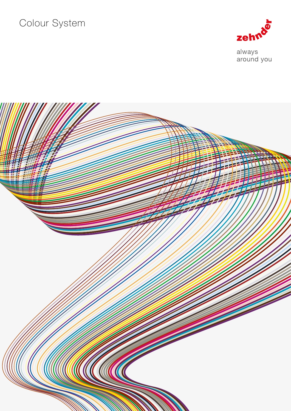# Colour System



always<br>around you

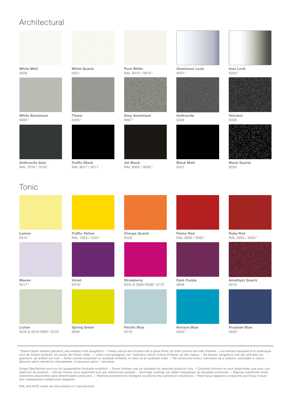## Architectural

White Matt 0556



White Aluminium 9006



Anthracite Grey RAL 7016 / 7016

White Quartz 0521



**Titane** 0335 \*



Traffic Black RAL 9017 / 9217

Pure White RAL 9010 / 9010 \*



Grey Aluminium 9007



Jet Black RAL 9005 / 9005 \*

Aluminium Look 9551 \*



Anthracite 0346



Black Matt 0557



Inox Look 0332 \*



Volcanic 0336



Black Quartz 0550

## Tonic



\* Diese Farben werden glänzend, alle anderen matt ausgeführt. – These colours are finished with a gloss finish; all other colours are matt-finished. – Les teintes marquées d'un astérisque sont de finition brillante, les autres de finition mate. – I colori contrassegnati con l'asterisco hanno finitura brillante, gli altri opaca. – De kleuren aangeduid met een sterretje zijn glanzend, de andere zijn mat. – Estos colores presentan un acabado brillante; el resto es en acabado mate. – Tak oznaczone kolory wykonane są w połysku, pozostałe w macie. –<br>Данные цвета являются глянцевыми, остальные цве

Einige Oberflächen sind nur für ausgewählte Produkte erhältlich. – Some finishes may be available for selected products only. – Certaines finitions ne sont disponibles que pour une<br>sélection de produits. – Alcune finiture solamente disponibles para determinados productos. – Niektóre powierzchnie dostępne sa jedynie dla wybranych produktów. – Некоторые варианты покрытий доступны только для определенно выбранных моделей.

RAL and NCS-codes are descriptions of manufacturer.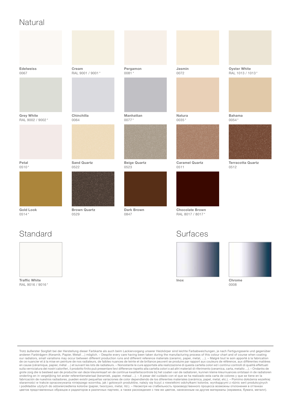#### Natural



Petal 0510 \*



Gold Look  $0514'$ 



Traffic White RAL 9016 / 9016 \*

Cream RAL 9001 / 9001 \*

Chinchilla

0064



Sand Quartz 0522



Brown Quartz 0529

Pergamon 0081 \*

Manhattan 0077



Beige Quartz 0523



Dark Brown 0847

Jasmin 0072



Natura 0035 \*



Caramel Quartz 0511



Chocolate Brown RAL 8017 / 8017

# Standard Surfaces



Oyster White RAL 1013 / 1013 \*



0054



Terracotta Quartz 0512



0008

Trotz äußerster Sorgfalt bei der Herstellung dieser Farbkarte als auch beim Lackiervorgang unserer Heizkörper sind leichte Farbabweichungen, je nach Fertigungsserie und gegenüber anderen Farbträgern (Keramik, Papier, Metall …) möglich. – Despite every care having been taken during the manufacturing process of this colour chart and of course when coating our radiators, small variations may occur between different production runs and different reference materials (ceramic, paper, metal, …). – Malgré tout le soin apporté à la fabrication<br>de ce nuancier et à la mise en peintu en cause (céramique, papier, métal …) et suivant les lots de radiateurs. – Nonostante le cure apportate alla realizzazione di questa cartella colori ed i continui controlli di qualità effettuati<br>sulla verniciatura dei nost grote zorg die is besteed aan de productie van deze kleurenkaart en de continue kwaliteitscontrole bij het coaten van de radiatoren, kunnen kleine kleurnuances ontstaan in de radiatoren onderling en in vergelijking tot ander referentiemateriaal (keramiek, papier, metaal …). – A pesar del cuidado con el que se ha realizado esta carta de colores y que se tiene en la<br>fabricación de nuestros radiadores, puede staranności w trakcie opracowywania niniejszego wzornika, jak i gotowych produktów, należy się liczyć z niewielkimi odchyłkami kolorów, wynikającymi z różnic serii produkcyjnych<br>i podkładów użytych do odzwierciedlenia kol цветов представленных образцов и радиаторов в различных партиях, а также расхождения с тем же цветом, нанесенным на другие материалы (керамика, бумага, металл).